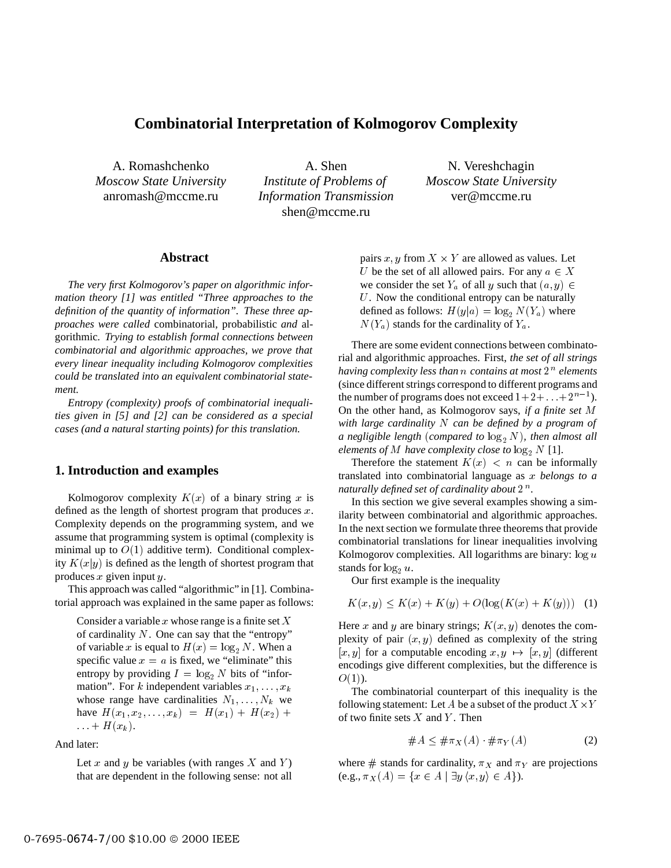# **Combinatorial Interpretation of Kolmogorov Complexity**

A. Romashchenko *Moscow State University* anromash@mccme.ru

A. Shen *Institute of Problems of Information Transmission* shen@mccme.ru

N. Vereshchagin *Moscow State University* ver@mccme.ru

## **Abstract**

*The very first Kolmogorov's paper on algorithmic information theory [1] was entitled "Three approaches to the definition of the quantity of information". These three approaches were called* combinatorial*,* probabilistic *and* algorithmic*. Trying to establish formal connections between combinatorial and algorithmic approaches, we prove that every linear inequality including Kolmogorov complexities could be translated into an equivalent combinatorial statement.*

*Entropy (complexity) proofs of combinatorial inequalities given in [5] and [2] can be considered as a special cases (and a natural starting points) for this translation.*

## **1. Introduction and examples**

Kolmogorov complexity  $K(x)$  of a binary string x is defined as the length of shortest program that produces  $x$ . Complexity depends on the programming system, and we assume that programming system is optimal (complexity is minimal up to  $O(1)$  additive term). Conditional complexity  $K(x|y)$  is defined as the length of shortest program that produces  $x$  given input  $y$ .

This approach was called "algorithmic" in [1]. Combinatorial approach was explained in the same paper as follows:

Consider a variable  $x$  whose range is a finite set  $X$ of cardinality  $N$ . One can say that the "entropy" of variable x is equal to  $H(x) = \log_2 N$ . When a specific value  $x = a$  is fixed, we "eliminate" this entropy by providing  $I = \log_2 N$  bits of "information". For k independent variables  $x_1, \ldots, x_k$ whose range have cardinalities  $N_1, \ldots, N_k$  we have  $H(x_1, x_2,...,x_k) = H(x_1) + H(x_2) +$  $\ldots$  +  $H(x_k)$ .

And later:

Let x and y be variables (with ranges  $X$  and  $Y$ ) that are dependent in the following sense: not all

pairs  $x, y$  from  $X \times Y$  are allowed as values. Let U be the set of all allowed pairs. For any  $a \in X$ we consider the set  $Y_a$  of all y such that  $(a, y) \in$ U. Now the conditional entropy can be naturally defined as follows:  $H(y|a) = \log_2 N(Y_a)$  where  $N(Y_a)$  stands for the cardinality of  $Y_a$ .

There are some evident connections between combinatorial and algorithmic approaches. First, *the set of all strings* having complexity less than  $n$  contains at most  $2^n$  elements (since different strings correspond to different programs and the number of programs does not exceed  $1+2+\ldots+2^{n-1}$ ). On the other hand, as Kolmogorov says, *if a finite set* M *with large cardinality* N *can be defined by a program of a* negligible length (*compared to*  $\log_2 N$ *), then almost all elements of*  $M$  *have complexity close to*  $\log_2 N$  [1].

Therefore the statement  $K(x) < n$  can be informally translated into combinatorial language as <sup>x</sup> *belongs to a* naturally defined set of cardinality about  $2^{\,n}.$ 

In this section we give several examples showing a similarity between combinatorial and algorithmic approaches. In the next section we formulate three theorems that provide combinatorial translations for linear inequalities involving Kolmogorov complexities. All logarithms are binary:  $\log u$ stands for  $log_2 u$ .

Our first example is the inequality

$$
K(x, y) \le K(x) + K(y) + O(\log(K(x) + K(y))) \tag{1}
$$

Here x and y are binary strings;  $K(x, y)$  denotes the complexity of pair  $(x, y)$  defined as complexity of the string  $[x, y]$  for a computable encoding  $x, y \mapsto [x, y]$  (different encodings give different complexities, but the difference is  $O(1)$ ).

The combinatorial counterpart of this inequality is the following statement: Let A be a subset of the product  $X \times Y$ of two finite sets  $X$  and  $Y$ . Then

$$
\#A \leq \#\pi_X(A) \cdot \#\pi_Y(A) \tag{2}
$$

where  $\#$  stands for cardinality,  $\pi_X$  and  $\pi_Y$  are projections (e.g.,  $\pi_X(A) = \{x \in A \mid \exists y \langle x, y \rangle \in A\}.$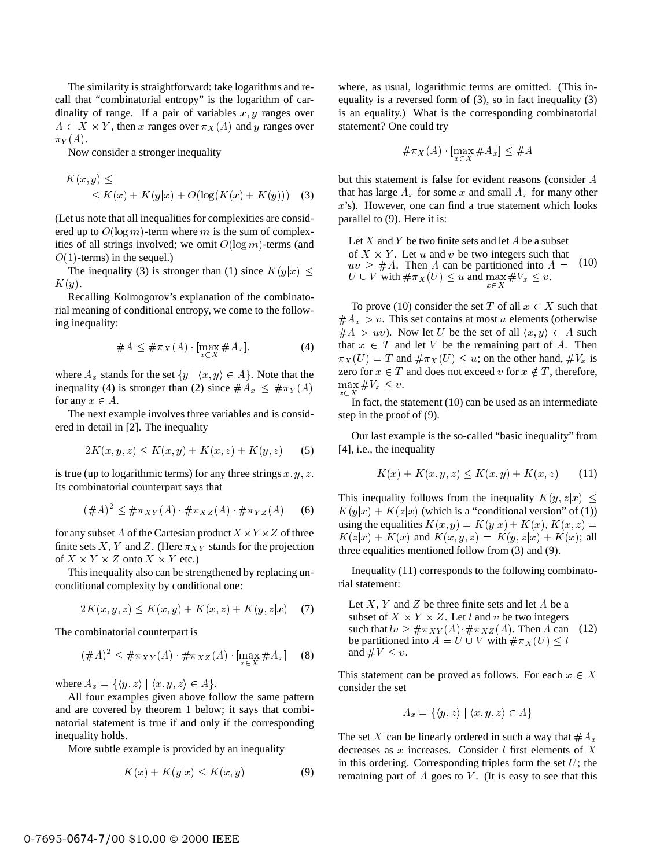The similarity is straightforward: take logarithms and recall that "combinatorial entropy" is the logarithm of cardinality of range. If a pair of variables  $x, y$  ranges over  $A \subset X \times Y$ , then x ranges over  $\pi_X(A)$  and y ranges over  $\pi_Y(A)$ .

Now consider a stronger inequality

$$
K(x, y) \le
$$
  
\$\le K(x) + K(y|x) + O(\log(K(x) + K(y)))\$ (3)

(Let us note that all inequalities for complexities are considered up to  $O(\log m)$ -term where m is the sum of complexities of all strings involved; we omit  $O(\log m)$ -terms (and  $O(1)$ -terms) in the sequel.)

The inequality (3) is stronger than (1) since  $K(y|x) \leq$  $K(y)$ .

Recalling Kolmogorov's explanation of the combinatorial meaning of conditional entropy, we come to the following inequality:

$$
\#A \leq \#\pi_X(A) \cdot \left[\max_{x \in X} \#A_x\right],\tag{4}
$$

where  $A_x$  stands for the set  $\{y \mid \langle x, y \rangle \in A\}$ . Note that the inequality (4) is stronger than (2) since  $#A_x \n\t\leq \n# \pi_Y(A)$   $\max_{x \in X}$ for any  $x \in A$ .

The next example involves three variables and is considered in detail in [2]. The inequality

$$
2K(x, y, z) \le K(x, y) + K(x, z) + K(y, z) \tag{5}
$$

is true (up to logarithmic terms) for any three strings  $x, y, z$ . Its combinatorial counterpart says that

$$
(\#A)^2 \le \# \pi_{XY}(A) \cdot \# \pi_{XZ}(A) \cdot \# \pi_{YZ}(A) \tag{6}
$$

for any subset A of the Cartesian product  $X \times Y \times Z$  of three finite sets X, Y and Z. (Here  $\pi_{XY}$  stands for the projection of  $X \times Y \times Z$  onto  $X \times Y$  etc.)

This inequality also can be strengthened by replacing unconditional complexity by conditional one:

$$
2K(x, y, z) \le K(x, y) + K(x, z) + K(y, z|x) \quad (7)
$$

The combinatorial counterpart is

$$
(\#A)^2 \le \# \pi_{XY}(A) \cdot \# \pi_{XZ}(A) \cdot [\max_{x \in X} \# A_x] \quad (8)
$$

where  $A_x = \{ \langle y, z \rangle \mid \langle x, y, z \rangle \in A \}.$ 

All four examples given above follow the same pattern and are covered by theorem 1 below; it says that combinatorial statement is true if and only if the corresponding inequality holds.

More subtle example is provided by an inequality

$$
K(x) + K(y|x) \le K(x, y) \tag{9}
$$

where, as usual, logarithmic terms are omitted. (This inequality is a reversed form of (3), so in fact inequality (3) is an equality.) What is the corresponding combinatorial statement? One could try

$$
\#\pi_X(A) \cdot \left[ \max_{x \in X} \#A_x \right] \leq \#A
$$

but this statement is false for evident reasons (consider A that has large  $A_x$  for some x and small  $A_x$  for many other x's). However, one can find a true statement which looks parallel to (9). Here it is:

Let  $X$  and  $Y$  be two finite sets and let  $A$  be a subset of  $X \times Y$ . Let u and v be two integers such that  $uv \geq #A$ . Then A can be partitioned into  $A = (10)$  $uv \geq #A$ . Then A can be partitioned into  $A = (10)$ <br>  $U \cup V$  with  $\# \pi_X(U) \leq u$  and  $\max_{x \in X} #V_x \leq v$ .

To prove (10) consider the set T of all  $x \in X$  such that  $#A_x > v$ . This set contains at most u elements (otherwise  $#A > uv$ ). Now let U be the set of all  $\langle x, y \rangle \in A$  such that  $x \in T$  and let V be the remaining part of A. Then  $\pi_X(U) = T$  and  $\# \pi_X(U) \leq u$ ; on the other hand,  $\#V_x$  is zero for  $x \in T$  and does not exceed v for  $x \notin T$ , therefore,  $\max_{x \in X} \#V_x \leq v.$ 

In fact, the statement (10) can be used as an intermediate step in the proof of (9).

Our last example is the so-called "basic inequality" from [4], i.e., the inequality

$$
K(x) + K(x, y, z) \le K(x, y) + K(x, z) \tag{11}
$$

This inequality follows from the inequality  $K(y, z|x)$  $K(y|x) + K(z|x)$  (which is a "conditional version" of (1)) using the equalities  $K(x, y) = K(y|x) + K(x), K(x, z)$  $K(z|x) + K(x)$  and  $K(x, y, z) = K(y, z|x) + K(x)$ ; all three equalities mentioned follow from (3) and (9).

Inequality (11) corresponds to the following combinatorial statement:

Let  $X, Y$  and  $Z$  be three finite sets and let  $A$  be a subset of  $X \times Y \times Z$ . Let l and v be two integers such that  $\ln \frac{1}{\epsilon} \neq \pi_{XY}(A) \cdot \#\pi_{XZ}(A)$ . Then A can (12) be partitioned into  $A = U \cup V$  with  $\# \pi_X (U) \leq l$ and  $\#V \leq v$ . (12)

This statement can be proved as follows. For each  $x \in X$ consider the set

$$
A_x = \{ \langle y, z \rangle \mid \langle x, y, z \rangle \in A \}
$$

The set X can be linearly ordered in such a way that  $\#A_x$ decreases as  $x$  increases. Consider  $l$  first elements of  $X$ in this ordering. Corresponding triples form the set  $U$ ; the remaining part of  $A$  goes to  $V$ . (It is easy to see that this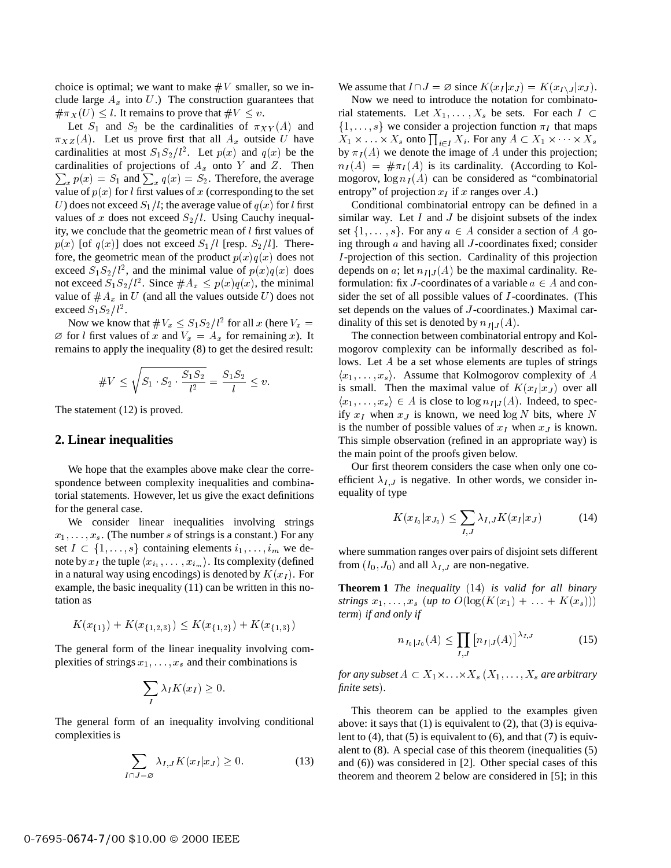choice is optimal; we want to make  $\#V$  smaller, so we include large  $A_x$  into U.) The construction guarantees that  $\#\pi_X(U) \leq l$ . It remains to prove that  $\#V \leq v$ .

Let  $S_1$  and  $S_2$  be the cardinalities of  $\pi_{XY}(A)$  and  $\pi_{XZ}(A)$ . Let us prove first that all  $A_x$  outside U have cardinalities at most  $S_1S_2/l^2$ . Let  $p(x)$  and  $q(x)$  be the  $\sum_{x} p(x) = S_1$  and  $\sum_{x} q(x) = S_2$ . Therefore, the average cardinalities of projections of  $A_x$  onto Y and Z. Then value of  $p(x)$  for l first values of x (corresponding to the set U) does not exceed  $S_1/l$ ; the average value of  $q(x)$  for l first values of x does not exceed  $S_2/l$ . Using Cauchy inequality, we conclude that the geometric mean of l first values of  $p(x)$  [of  $q(x)$ ] does not exceed  $S_1/l$  [resp.  $S_2/l$ ]. Therefore, the geometric mean of the product  $p(x)q(x)$  does not exceed  $S_1S_2/l^2$ , and the minimal value of  $p(x)q(x)$  does not exceed  $S_1S_2/l^2$ . Since  $\#A_x \leq p(x)q(x)$ , the minimal value of  $#A_x$  in U (and all the values outside U) does not exceed  $S_1S_2/l^2$ .

Now we know that  $\#V_x \leq S_1S_2/l^2$  for all x (here  $V_x =$  dinality of  $\emptyset$  for l first values of x and  $V_x = A_x$  for remaining x). It remains to apply the inequality (8) to get the desired result:

#V <sup>r</sup> S1 S2 S1S2 l<sup>2</sup> <sup>=</sup> S1S2 l v:

The statement (12) is proved.

## **2. Linear inequalities**

We hope that the examples above make clear the correspondence between complexity inequalities and combinatorial statements. However, let us give the exact definitions for the general case.

We consider linear inequalities involving strings  $x_1, \ldots, x_s$ . (The number s of strings is a constant.) For any set  $I \subset \{1,\ldots,s\}$  containing elements  $i_1,\ldots,i_m$  we denote by  $x_I$  the tuple  $\langle x_{i_1}, \ldots, x_{i_m} \rangle$ . Its complexity (defined in a natural way using encodings) is denoted by  $K(x_I)$ . For example, the basic inequality (11) can be written in this notation as

$$
K(x_{\{1\}}) + K(x_{\{1,2,3\}}) \le K(x_{\{1,2\}}) + K(x_{\{1,3\}})
$$

The general form of the linear inequality involving complexities of strings  $x_1$ ,  $\ldots$ ,  $x_s$  and their combinations is

$$
\sum_{I} \lambda_I K(x_I) \ge 0.
$$

The general form of an inequality involving conditional complexities is

$$
\sum_{I \cap J = \varnothing} \lambda_{I,J} K(x_I | x_J) \ge 0. \tag{13}
$$

We assume that  $I \cap J = \emptyset$  since  $K(x_I | x_J) = K(x_{I \setminus J} | x_J)$ .

Now we need to introduce the notation for combinatorial statements. Let  $X_1, \ldots, X_s$  be sets. For each  $I \subset$  $\{1,\ldots,s\}$  we consider a projection function  $\pi_I$  that maps  $X_1 \times \ldots \times X_s$  onto  $\prod_{i \in I} X_i$ . For any  $A \subset X_1 \times \cdots \times X_s$ by  $\pi_I(A)$  we denote the image of A under this projection;  $n_I(A) = \text{#}\pi_I(A)$  is its cardinality. (According to Kolmogorov,  $\log n_I(A)$  can be considered as "combinatorial" entropy" of projection  $x_I$  if x ranges over A.)

Conditional combinatorial entropy can be defined in a similar way. Let  $I$  and  $J$  be disjoint subsets of the index set  $\{1,\ldots,s\}$ . For any  $a \in A$  consider a section of A going through  $a$  and having all  $J$ -coordinates fixed; consider I -projection of this section. Cardinality of this projection depends on a; let  $n_{I|J}(A)$  be the maximal cardinality. Reformulation: fix J-coordinates of a variable  $a \in A$  and consider the set of all possible values of *I*-coordinates. (This set depends on the values of J-coordinates.) Maximal cardinality of this set is denoted by  $n_{I|J}(A)$ .

The connection between combinatorial entropy and Kolmogorov complexity can be informally described as follows. Let <sup>A</sup> be a set whose elements are tuples of strings  $\langle x_1,\ldots,x_s\rangle$ . Assume that Kolmogorov complexity of A is small. Then the maximal value of  $K(x_I | x_J)$  over all  $\langle x_1,\ldots,x_s \rangle \in A$  is close to  $\log n_{I|J}(A)$ . Indeed, to specify  $x_I$  when  $x_J$  is known, we need  $\log N$  bits, where N is the number of possible values of  $x_I$  when  $x_J$  is known. This simple observation (refined in an appropriate way) is the main point of the proofs given below.

Our first theorem considers the case when only one coefficient  $\lambda_{I,J}$  is negative. In other words, we consider inequality of type

$$
K(x_{I_0}|x_{J_0}) \le \sum_{I,J} \lambda_{I,J} K(x_I|x_J) \tag{14}
$$

where summation ranges over pairs of disjoint sets different from  $(I_0, J_0)$  and all  $\lambda_{I,J}$  are non-negative.

**Theorem 1** *The inequality* (14) *is valid for all binary strings*  $x_1, ..., x_s$  (*up to*  $O(log(K(x_1) + ... + K(x_s)))$ *term*) *if and only if*

$$
n_{I_0|J_0}(A) \le \prod_{I,J} \left[ n_{I|J}(A) \right]^{\lambda_{I,J}} \tag{15}
$$

for any subset  $A \subset X_1 \times \ldots \times X_s\ (X_1,\ldots,X_s$  are arbitrary *finite sets*)*.*

This theorem can be applied to the examples given above: it says that  $(1)$  is equivalent to  $(2)$ , that  $(3)$  is equivalent to  $(4)$ , that  $(5)$  is equivalent to  $(6)$ , and that  $(7)$  is equivalent to (8). A special case of this theorem (inequalities (5) and (6)) was considered in [2]. Other special cases of this theorem and theorem 2 below are considered in [5]; in this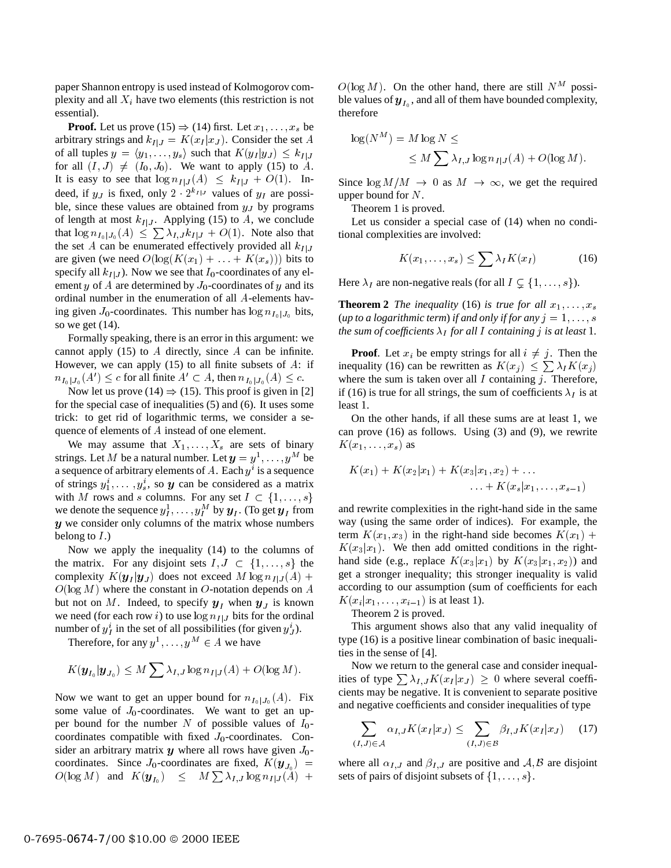paper Shannon entropy is used instead of Kolmogorov complexity and all  $X_i$  have two elements (this restriction is not essential).

**Proof.** Let us prove (15)  $\Rightarrow$  (14) first. Let  $x_1, \ldots, x_s$  be arbitrary strings and  $k_{I|J} = K(x_I | x_J)$ . Consider the set A of all tuples  $y = \langle y_1, \ldots, y_s \rangle$  such that  $K(y_I | y_J) \leq k_{I|J}$ for all  $(I, J) \neq (I_0, J_0)$ . We want to apply (15) to A. It is easy to see that  $\log n_{I|J}(A) \leq k_{I|J} + O(1)$ . Indeed, if  $y_J$  is fixed, only  $2 \cdot 2^{k_{I/J}}$  values of  $y_I$  are possible, since these values are obtained from  $y<sub>J</sub>$  by programs of length at most  $k_{I|J}$ . Applying (15) to A, we conclude that  $\log n_{I_0|J_0}(A) \leq \sum \lambda_{I,J} k_{I|J} + O(1)$ . Note also that the set A can be enumerated effectively provided all  $k_{I|J}$ are given (we need  $O(\log(K(x_1) + \ldots + K(x_s)))$  bits to specify all  $k_{I|J}$ ). Now we see that  $I_0$ -coordinates of any element y of A are determined by  $J_0$ -coordinates of y and its ordinal number in the enumeration of all <sup>A</sup>-elements having given  $J_0$ -coordinates. This number has  $\log n_{I_0}$  bits, so we get (14).

Formally speaking, there is an error in this argument: we cannot apply  $(15)$  to A directly, since A can be infinite. However, we can apply  $(15)$  to all finite subsets of A: if  $n_{I_0|J_0}(A') \leq c$  for all finite  $A' \subset A$ , then  $n_{I_0|J_0}(A) \leq c$ .

Now let us prove (14)  $\Rightarrow$  (15). This proof is given in [2] for the special case of inequalities (5) and (6). It uses some trick: to get rid of logarithmic terms, we consider a sequence of elements of <sup>A</sup> instead of one element.

We may assume that  $X_1, \ldots, X_s$  are sets of binary strings. Let M be a natural number. Let  $y = y^1, \ldots, y^M$  be a sequence of arbitrary elements of A. Each  $y^i$  is a sequence of strings  $y_1^i$ ,  $\dots$ ,  $y_s^i$ , so y can be considered as a matrix with M rows and s columns. For any set  $I \subset \{1,\ldots,s\}$ we denote the sequence  $y_1^1, \ldots, y_t^M$  by  $y_i$ . (To get  $y_i$  from <sup>y</sup> we consider only columns of the matrix whose numbers belong to  $I$ .)

Now we apply the inequality (14) to the columns of the matrix. For any disjoint sets  $I, J \subset \{1, \ldots, s\}$  the complexity  $K(\mathbf{y}_I | \mathbf{y}_J)$  does not exceed M  $\log n_{I|J}(A)$  +  $O(\log M)$  where the constant in O-notation depends on A but not on M. Indeed, to specify  $y_I$  when  $y_J$  is known we need (for each row i) to use  $\log n_{I|J}$  bits for the ordinal number of  $y_I^i$  in the set of all possibilities (for given  $y_J^i$ ).

Therefore, for any  $y^1, \ldots, y^M \in A$  we have

$$
K(\boldsymbol{y}_{I_0}|\boldsymbol{y}_{J_0}) \leq M \sum \lambda_{I,J} \log n_{I|J}(A) + O(\log M).
$$

Now we want to get an upper bound for  $n_{I_0|J_0}(A)$ . Fix some value of  $J_0$ -coordinates. We want to get an upper bound for the number N of possible values of  $I_0$ coordinates compatible with fixed  $J_0$ -coordinates. Consider an arbitrary matrix  $y$  where all rows have given  $J_0$ coordinates. Since  $J_0$ -coordinates are fixed,  $K(\mathbf{y}_{J_0})$  =  $O(\log M)$  and  $K(\bm y_{I_0}) \leq M \sum \lambda_{I,J} \log n_{I|J}(A) + \text{ sets of } \bm p$ 

 $O(\log M)$ . On the other hand, there are still  $N^M$  possible values of  $y_{I_0}$ , and all of them have bounded complexity, therefore

$$
\log(N^M) = M \log N \le
$$
  
\$\leq M \sum\_{I,J} \log n\_{I|J}(A) + O(\log M)\$.

Since  $\log M/M \to 0$  as  $M \to \infty$ , we get the required upper bound for N.

Theorem 1 is proved.

Let us consider a special case of (14) when no conditional complexities are involved:

$$
K(x_1,\ldots,x_s) \leq \sum \lambda_I K(x_I) \tag{16}
$$

Here  $\lambda_I$  are non-negative reals (for all  $I \subseteq \{1,\ldots,s\}$ ).

**Theorem 2** *The inequality* (16) *is true for all*  $x_1, \ldots, x_s$ (*up to a logarithmic term*) *if and only if for any*  $j = 1, \ldots, s$ *the sum of coefficients*  $\lambda_I$  *for all I containing j is at least* 1.

**Proof.** Let  $x_i$  be empty strings for all  $i \neq j$ . Then the inequality (16) can be rewritten as  $K(x_j) \leq \sum \lambda_i K(x_j)$ where the sum is taken over all  $I$  containing  $j$ . Therefore, if (16) is true for all strings, the sum of coefficients  $\lambda_I$  is at least <sup>1</sup>.

On the other hands, if all these sums are at least <sup>1</sup>, we can prove (16) as follows. Using (3) and (9), we rewrite  $K(x_1,\ldots,x_s)$  as

$$
K(x_1) + K(x_2|x_1) + K(x_3|x_1, x_2) + \dots
$$
  
 
$$
\dots + K(x_s|x_1, \dots, x_{s-1})
$$

and rewrite complexities in the right-hand side in the same way (using the same order of indices). For example, the term  $K(x_1, x_3)$  in the right-hand side becomes  $K(x_1)$  +  $K(x_3|x_1)$ . We then add omitted conditions in the righthand side (e.g., replace  $K(x_3|x_1)$  by  $K(x_3|x_1, x_2)$ ) and get a stronger inequality; this stronger inequality is valid according to our assumption (sum of coefficients for each  $K(x_i | x_1, \ldots, x_{i-1})$  is at least 1).

Theorem 2 is proved.

This argument shows also that any valid inequality of type (16) is a positive linear combination of basic inequalities in the sense of [4].

Now we return to the general case and consider inequalities of type  $\sum \lambda_{I,J} K(x_I | x_J) \geq 0$  where several coefficients may be negative. It is convenient to separate positive and negative coefficients and consider inequalities of type

$$
\sum_{(I,J)\in\mathcal{A}} \alpha_{I,J} K(x_I|x_J) \le \sum_{(I,J)\in\mathcal{B}} \beta_{I,J} K(x_I|x_J) \quad (17)
$$

where all  $\alpha_{I,J}$  and  $\beta_{I,J}$  are positive and A, B are disjoint sets of pairs of disjoint subsets of  $\{1,\ldots,s\}$ .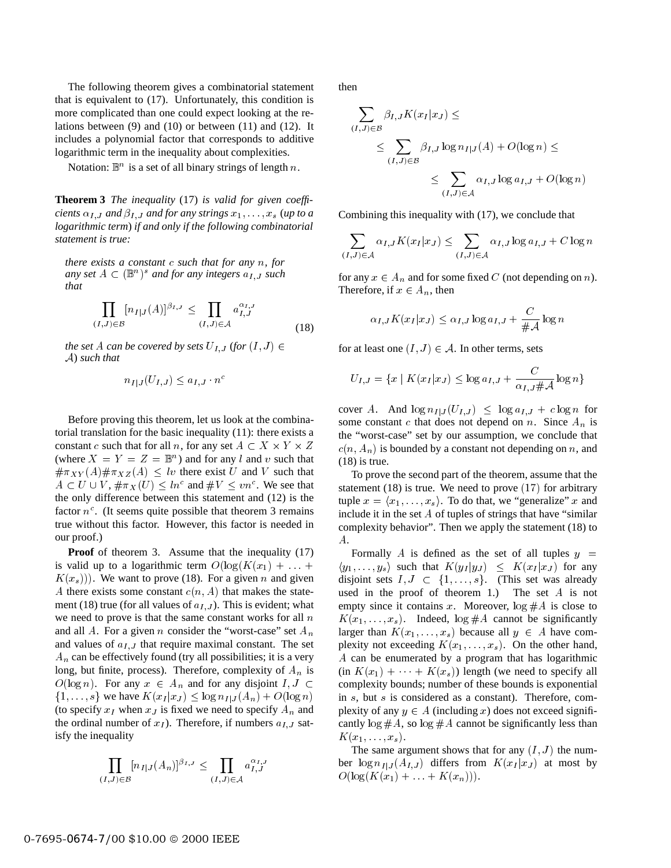The following theorem gives a combinatorial statement that is equivalent to (17). Unfortunately, this condition is more complicated than one could expect looking at the relations between (9) and (10) or between (11) and (12). It includes a polynomial factor that corresponds to additive logarithmic term in the inequality about complexities.

Notation:  $\mathbb{B}^n$  is a set of all binary strings of length n.

**Theorem 3** *The inequality* (17) *is valid for given coefficients*  $\alpha_{I,J}$  *and*  $\beta_{I,J}$  *and for any strings*  $x_1, \ldots, x_s$  (*up to a logarithmic term*) *if and only if the following combinatorial statement is true:*

*there exists a constant* <sup>c</sup> *such that for any* <sup>n</sup>*, for any set*  $A \subset (\mathbb{B}^n)^s$  *and for any integers*  $a_{I,J}$  *such that*

$$
\prod_{(I,J)\in\mathcal{B}} [n_{I|J}(A)]^{\beta_{I,J}} \leq \prod_{(I,J)\in\mathcal{A}} a_{I,J}^{\alpha_{I,J}}
$$
\n(18)

*the set* A *can be covered by sets*  $U_{I,J}$  (*for*  $(I,J) \in$ <sup>A</sup>) *such that*

$$
n_{I|J}(U_{I,J}) \leq a_{I,J} \cdot n^c
$$

Before proving this theorem, let us look at the combinatorial translation for the basic inequality (11): there exists a constant c such that for all n, for any set  $A \subset X \times Y \times Z$ (where  $X = Y = Z = \mathbb{B}^n$ ) and for any l and v such that  $\#\pi_{XY}(A)\#\pi_{XZ}(A) < l\upsilon$  there exist U and V such that  $A \subset U \cup V$ ,  $\#\pi_X(U) \leq ln^c$  and  $\#V \leq vn^c$ . We see that the only difference between this statement and (12) is the factor  $n^c$ . (It seems quite possible that theorem 3 remains true without this factor. However, this factor is needed in our proof.)

**Proof** of theorem 3. Assume that the inequality (17) is valid up to a logarithmic term  $O(\log(K(x_1) + \ldots +$  $K(x_s)$ ). We want to prove (18). For a given n and given A there exists some constant  $c(n, A)$  that makes the statement (18) true (for all values of  $a_{I,J}$ ). This is evident; what we need to prove is that the same constant works for all  $n$ and all A. For a given n consider the "worst-case" set  $A_n$ and values of  $a_{I,J}$  that require maximal constant. The set  $A_n$  can be effectively found (try all possibilities; it is a very long, but finite, process). Therefore, complexity of  $A_n$  is  $O(\log n)$ . For any  $x \in A_n$  and for any disjoint  $I, J \subset$  $\{1,\ldots,s\}$  we have  $K(x_I | x_J) \leq \log n_{I|J}(A_n)+O(\log n)$ (to specify  $x_I$  when  $x_J$  is fixed we need to specify  $A_n$  and the ordinal number of  $x_I$ ). Therefore, if numbers  $a_{I,J}$  satisfy the inequality

$$
\prod_{(I,J)\in\mathcal{B}} [n_{I|J}(A_n)]^{\beta_{I,J}} \leq \prod_{(I,J)\in\mathcal{A}} a_{I,J}^{\alpha_{I,J}}
$$

then

$$
\sum_{(I,J)\in\mathcal{B}} \beta_{I,J} K(x_I|x_J) \le
$$
\n
$$
\leq \sum_{(I,J)\in\mathcal{B}} \beta_{I,J} \log n_{I|J}(A) + O(\log n) \le
$$
\n
$$
\leq \sum_{(I,J)\in\mathcal{A}} \alpha_{I,J} \log a_{I,J} + O(\log n)
$$

Combining this inequality with (17), we conclude that

$$
\sum_{(I,J)\in\mathcal{A}} \alpha_{I,J} K(x_I|x_J) \le \sum_{(I,J)\in\mathcal{A}} \alpha_{I,J} \log a_{I,J} + C \log n
$$

for any  $x \in A_n$  and for some fixed C (not depending on n). Therefore, if  $x \in A_n$ , then

$$
\alpha_{I,J} K(x_I | x_J) \le \alpha_{I,J} \log a_{I,J} + \frac{C}{\#\mathcal{A}} \log n
$$

for at least one  $(I, J) \in A$ . In other terms, sets

$$
U_{I,J} = \{x \mid K(x_I|x_J) \le \log a_{I,J} + \frac{C}{\alpha_{I,J} \# \mathcal{A}} \log n\}
$$

 $Z = c(n, A_n)$  is bounded by a constant not depending on n, and cover A. And  $\log n_{I|J}(U_{I,J}) \leq \log a_{I,J} + c \log n$  for some constant c that does not depend on n. Since  $A_n$  is the "worst-case" set by our assumption, we conclude that  $(18)$  is true.

> To prove the second part of the theorem, assume that the statement  $(18)$  is true. We need to prove  $(17)$  for arbitrary tuple  $x = \langle x_1, \ldots, x_s \rangle$ . To do that, we "generalize" x and include it in the set A of tuples of strings that have "similar complexity behavior". Then we apply the statement (18) to A.

> Formally A is defined as the set of all tuples  $y =$  $\langle y_1,\ldots,y_s\rangle$  such that  $K(y_I|y_J) \leq K(x_I|x_J)$  for any disjoint sets  $I, J \subset \{1, \ldots, s\}$ . (This set was already used in the proof of theorem 1.) The set A is not empty since it contains x. Moreover,  $\log #A$  is close to  $K(x_1,...,x_s)$ . Indeed,  $\log #A$  cannot be significantly larger than  $K(x_1,...,x_s)$  because all  $y \in A$  have complexity not exceeding  $K(x_1, \ldots, x_s)$ . On the other hand, A can be enumerated by a program that has logarithmic  $(in K(x_1) + \cdots + K(x_s))$  length (we need to specify all complexity bounds; number of these bounds is exponential in <sup>s</sup>, but <sup>s</sup> is considered as a constant). Therefore, complexity of any  $y \in A$  (including x) does not exceed significantly  $\log #A$ , so  $\log #A$  cannot be significantly less than  $K(x_1,\ldots,x_s).$

> The same argument shows that for any  $(I, J)$  the number  $\log n_{I|J}(A_{I,J})$  differs from  $K(x_I|x_J)$  at most by  $O(\log(K(x_1) + \ldots + K(x_n))).$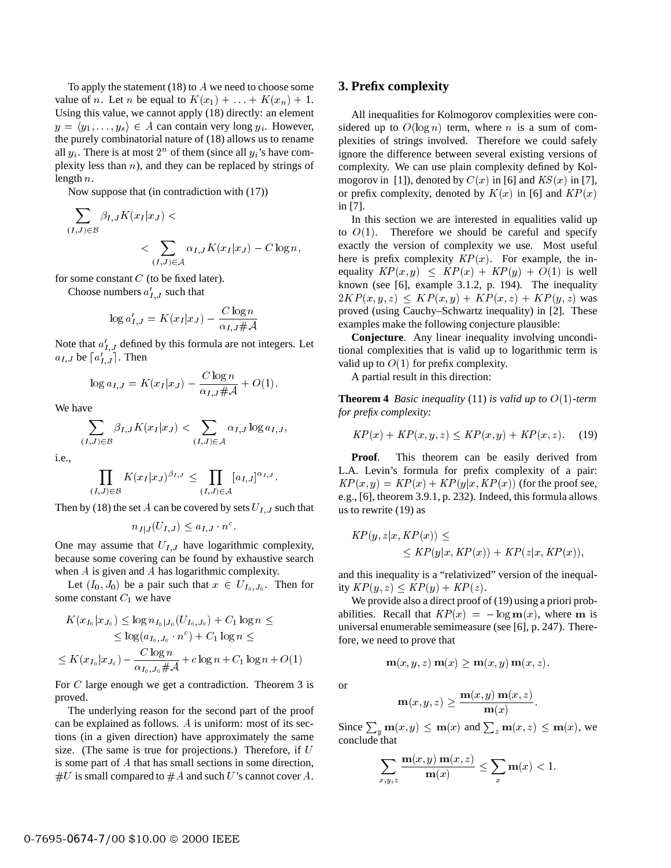To apply the statement  $(18)$  to A we need to choose some value of *n*. Let *n* be equal to  $K(x_1) + \ldots + K(x_n) + 1$ . Using this value, we cannot apply (18) directly: an element  $y = \langle y_1, \ldots, y_s \rangle \in A$  can contain very long  $y_i$ . However, the purely combinatorial nature of (18) allows us to rename all  $y_i$ . There is at most  $2^n$  of them (since all  $y_i$ 's have complexity less than  $n$ ), and they can be replaced by strings of length <sup>n</sup>.

Now suppose that (in contradiction with (17))

$$
\sum_{(I,J)\in\mathcal{B}} \beta_{I,J} K(x_I|x_J) < \sum_{(I,J)\in\mathcal{A}} \alpha_{I,J} K(x_I|x_J) - C \log n,
$$

for some constant  $C$  (to be fixed later).

Choose numbers  $a'_{I,J}$  such that

$$
\log a'_{I,J} = K(x_I|x_J) - \frac{C \log n}{\alpha_{I,J} \# \mathcal{A}}
$$

Note that  $a_{I,J}$  defined by this formula are not integers. Let  $a_{I,J}$  be  $[a'_{I,J}]$ . Then

$$
\log a_{I,J} = K(x_I|x_J) - \frac{C \log n}{\alpha_{I,J} \# \mathcal{A}} + O(1).
$$

We have

$$
\sum_{(I,J)\in\mathcal{B}} \beta_{I,J} K(x_I|x_J) < \sum_{(I,J)\in\mathcal{A}} \alpha_{I,J} \log a_{I,J},
$$

i.e.,

$$
\prod_{(I,J)\in\mathcal{B}} K(x_I|x_J)^{\beta_{I,J}} \leq \prod_{(I,J)\in\mathcal{A}} [a_{I,J}]^{\alpha_{I,J}}.
$$

Then by (18) the set A can be covered by sets  $U_{I,J}$  such that

$$
n_{I|J}(U_{I,J}) \leq a_{I,J} \cdot n^c.
$$

One may assume that  $U_{I,J}$  have logarithmic complexity, because some covering can be found by exhaustive search when A is given and A has logarithmic complexity.

Let  $(I_0, J_0)$  be a pair such that  $x \in U_{I_0, J_0}$ . Then for some constant  $C_1$  we have

$$
K(x_{I_0}|x_{J_0}) \le \log n_{I_0|J_0}(U_{I_0,J_0}) + C_1 \log n \le
$$
  
\n
$$
\le \log(a_{I_0,J_0} \cdot n^c) + C_1 \log n \le
$$
  
\n
$$
\le K(x_{I_0}|x_{J_0}) - \frac{C \log n}{\alpha_{I_0,J_0} \# \mathcal{A}} + c \log n + C_1 \log n + O(1)
$$

For C large enough we get a contradiction. Theorem 3 is proved.

The underlying reason for the second part of the proof can be explained as follows. <sup>A</sup> is uniform: most of its sections (in a given direction) have approximately the same size. (The same is true for projections.) Therefore, if  $U$ is some part of A that has small sections in some direction,  $#U$  is small compared to  $#A$  and such U's cannot cover A.

#### **3. Prefix complexity**

All inequalities for Kolmogorov complexities were considered up to  $O(\log n)$  term, where *n* is a sum of complexities of strings involved. Therefore we could safely ignore the difference between several existing versions of complexity. We can use plain complexity defined by Kolmogorov in [1]), denoted by  $C(x)$  in [6] and  $KS(x)$  in [7], or prefix complexity, denoted by  $K(x)$  in [6] and  $KP(x)$ in [7].

In this section we are interested in equalities valid up to  $O(1)$ . Therefore we should be careful and specify exactly the version of complexity we use. Most useful here is prefix complexity  $KP(x)$ . For example, the inequality  $KP(x, y) \leq KP(x) + KP(y) + O(1)$  is well known (see [6], example 3.1.2, p. 194). The inequality  $2KP(x, y, z) \leq KP(x, y)+KP(x, z)+KP(y, z)$  was proved (using Cauchy–Schwartz inequality) in [2]. These examples make the following conjecture plausible:

**Conjecture**. Any linear inequality involving unconditional complexities that is valid up to logarithmic term is valid up to  $O(1)$  for prefix complexity.

A partial result in this direction:

**Theorem 4** *Basic inequality* (11) *is valid up to* O(1)*-term for prefix complexity:*

$$
KP(x) + KP(x, y, z) \le KP(x, y) + KP(x, z). \tag{19}
$$

**Proof**. This theorem can be easily derived from L.A. Levin's formula for prefix complexity of a pair:  $KP(x, y) = KP(x) + KP(y|x, KP(x))$  (for the proof see, e.g., [6], theorem 3.9.1, p. 232). Indeed, this formula allows us to rewrite (19) as

$$
KP(y, z|x, KP(x)) \le
$$
  
 
$$
\le KP(y|x, KP(x)) + KP(z|x, KP(x)),
$$

and this inequality is a "relativized" version of the inequality  $KP(y, z) \leq KP(y) + KP(z)$ .

We provide also a direct proof of (19) using a priori probabilities. Recall that  $KP(x) = -\log m(x)$ , where m is universal enumerable semimeasure (see [6], p. 247). Therefore, we need to prove that

 $\mathbf{m}(x, y, z) \mathbf{m}(x) \geq \mathbf{m}(x, y) \mathbf{m}(x, z).$ 

or

$$
\mathbf{m}(x, y, z) \ge \frac{\mathbf{m}(x, y) \mathbf{m}(x, z)}{\mathbf{m}(x)}.
$$

Since  $\sum_{y} m(x, y) \le m(x)$  and  $\sum_{z} m(x, z) \le m(x)$ , we conclude that

$$
\sum_{x,y,z}\frac{\mathbf{m}(x,y)\,\mathbf{m}(x,z)}{\mathbf{m}(x)} \le \sum_x \mathbf{m}(x) < 1.
$$